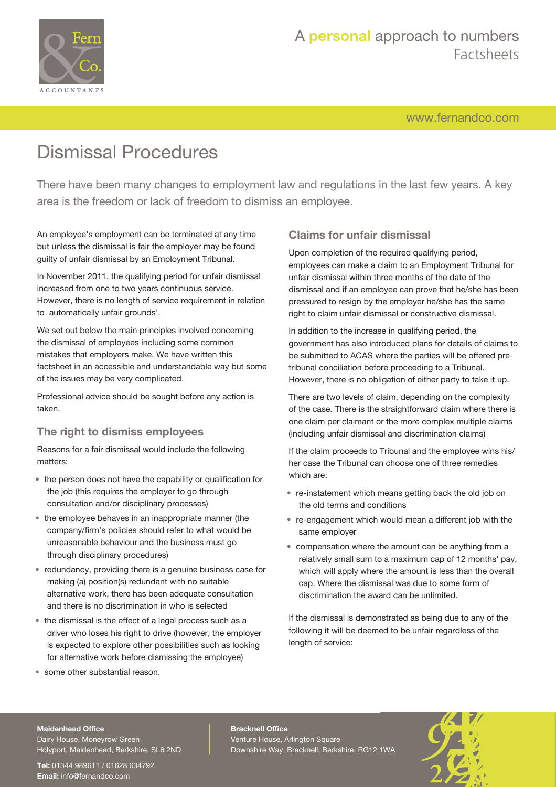

[www.fernandco.com](http://www.fernandco.com)

# Dismissal Procedures

There have been many changes to employment law and regulations in the last few years. A key area is the freedom or lack of freedom to dismiss an employee.

An employee's employment can be terminated at any time but unless the dismissal is fair the employer may be found guilty of unfair dismissal by an Employment Tribunal.

In November 2011, the qualifying period for unfair dismissal increased from one to two years continuous service. However, there is no length of service requirement in relation to 'automatically unfair grounds'.

We set out below the main principles involved concerning the dismissal of employees including some common mistakes that employers make. We have written this factsheet in an accessible and understandable way but some of the issues may be very complicated.

Professional advice should be sought before any action is taken.

### **The right to dismiss employees**

Reasons for a fair dismissal would include the following matters:

- the person does not have the capability or qualification for the job (this requires the employer to go through consultation and/or disciplinary processes)
- the employee behaves in an inappropriate manner (the company/firm's policies should refer to what would be unreasonable behaviour and the business must go through disciplinary procedures)
- redundancy, providing there is a genuine business case for making (a) position(s) redundant with no suitable alternative work, there has been adequate consultation and there is no discrimination in who is selected
- the dismissal is the effect of a legal process such as a driver who loses his right to drive (however, the employer is expected to explore other possibilities such as looking for alternative work before dismissing the employee)
- some other substantial reason.

## **Claims for unfair dismissal**

Upon completion of the required qualifying period, employees can make a claim to an Employment Tribunal for unfair dismissal within three months of the date of the dismissal and if an employee can prove that he/she has been pressured to resign by the employer he/she has the same right to claim unfair dismissal or constructive dismissal.

In addition to the increase in qualifying period, the government has also introduced plans for details of claims to be submitted to ACAS where the parties will be offered pretribunal conciliation before proceeding to a Tribunal. However, there is no obligation of either party to take it up.

There are two levels of claim, depending on the complexity of the case. There is the straightforward claim where there is one claim per claimant or the more complex multiple claims (including unfair dismissal and discrimination claims)

If the claim proceeds to Tribunal and the employee wins his/ her case the Tribunal can choose one of three remedies which are:

- re-instatement which means getting back the old job on the old terms and conditions
- re-engagement which would mean a different job with the same employer
- compensation where the amount can be anything from a relatively small sum to a maximum cap of 12 months' pay, which will apply where the amount is less than the overall cap. Where the dismissal was due to some form of discrimination the award can be unlimited.

If the dismissal is demonstrated as being due to any of the following it will be deemed to be unfair regardless of the length of service:

#### **Maidenhead Office**

Dairy House, Moneyrow Green Holyport, Maidenhead, Berkshire, SL6 2ND

**Tel:** 01344 989611 / 01628 634792 **Email:** [info@fernandco.com](mailto:info@fernandco.com)

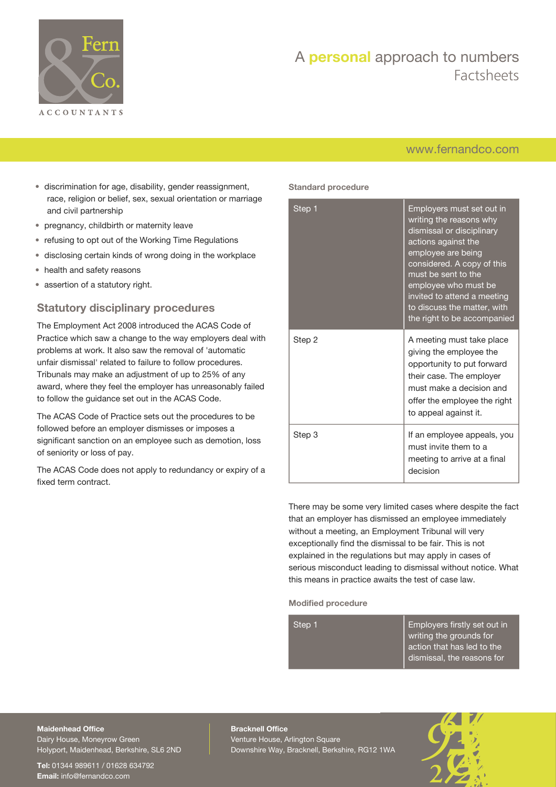

## [www.fernandco.com](http://www.fernandco.com)

- discrimination for age, disability, gender reassignment, race, religion or belief, sex, sexual orientation or marriage and civil partnership
- pregnancy, childbirth or maternity leave
- refusing to opt out of the Working Time Regulations
- disclosing certain kinds of wrong doing in the workplace
- health and safety reasons
- assertion of a statutory right.

### **Statutory disciplinary procedures**

The Employment Act 2008 introduced the ACAS Code of Practice which saw a change to the way employers deal with problems at work. It also saw the removal of 'automatic unfair dismissal' related to failure to follow procedures. Tribunals may make an adjustment of up to 25% of any award, where they feel the employer has unreasonably failed to follow the guidance set out in the ACAS Code.

The ACAS Code of Practice sets out the procedures to be followed before an employer dismisses or imposes a significant sanction on an employee such as demotion, loss of seniority or loss of pay.

The ACAS Code does not apply to redundancy or expiry of a fixed term contract.

#### **Standard procedure**

| Step 1 | Employers must set out in<br>writing the reasons why<br>dismissal or disciplinary<br>actions against the<br>employee are being<br>considered. A copy of this<br>must be sent to the<br>employee who must be<br>invited to attend a meeting<br>to discuss the matter, with<br>the right to be accompanied |
|--------|----------------------------------------------------------------------------------------------------------------------------------------------------------------------------------------------------------------------------------------------------------------------------------------------------------|
| Step 2 | A meeting must take place<br>giving the employee the<br>opportunity to put forward<br>their case. The employer<br>must make a decision and<br>offer the employee the right<br>to appeal against it.                                                                                                      |
| Step 3 | If an employee appeals, you<br>must invite them to a<br>meeting to arrive at a final<br>decision                                                                                                                                                                                                         |

There may be some very limited cases where despite the fact that an employer has dismissed an employee immediately without a meeting, an Employment Tribunal will very exceptionally find the dismissal to be fair. This is not explained in the regulations but may apply in cases of serious misconduct leading to dismissal without notice. What this means in practice awaits the test of case law.

#### **Modified procedure**

| Step 1 | Employers firstly set out in |
|--------|------------------------------|
|        | writing the grounds for      |
|        | action that has led to the   |
|        | dismissal, the reasons for   |
|        |                              |

**Maidenhead Office** Dairy House, Moneyrow Green Holyport, Maidenhead, Berkshire, SL6 2ND

**Tel:** 01344 989611 / 01628 634792 **Email:** [info@fernandco.com](mailto:info@fernandco.com)

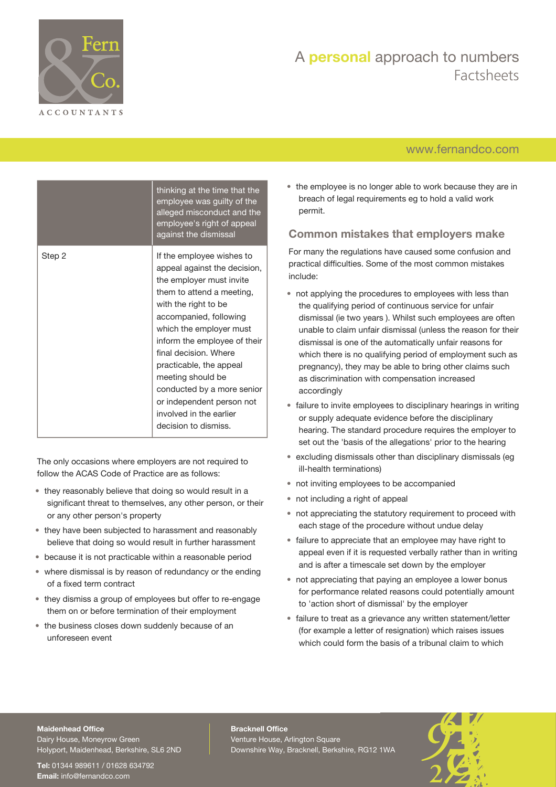

## [www.fernandco.com](http://www.fernandco.com)

|        | thinking at the time that the<br>employee was guilty of the<br>alleged misconduct and the<br>employee's right of appeal<br>against the dismissal                                                                                                                                                                                                                                                                       |
|--------|------------------------------------------------------------------------------------------------------------------------------------------------------------------------------------------------------------------------------------------------------------------------------------------------------------------------------------------------------------------------------------------------------------------------|
| Step 2 | If the employee wishes to<br>appeal against the decision,<br>the employer must invite<br>them to attend a meeting,<br>with the right to be<br>accompanied, following<br>which the employer must<br>inform the employee of their<br>final decision. Where<br>practicable, the appeal<br>meeting should be<br>conducted by a more senior<br>or independent person not<br>involved in the earlier<br>decision to dismiss. |

The only occasions where employers are not required to follow the ACAS Code of Practice are as follows:

- they reasonably believe that doing so would result in a significant threat to themselves, any other person, or their or any other person's property
- they have been subjected to harassment and reasonably believe that doing so would result in further harassment
- because it is not practicable within a reasonable period
- where dismissal is by reason of redundancy or the ending of a fixed term contract
- they dismiss a group of employees but offer to re-engage them on or before termination of their employment
- the business closes down suddenly because of an unforeseen event

• the employee is no longer able to work because they are in breach of legal requirements eg to hold a valid work permit.

### **Common mistakes that employers make**

For many the regulations have caused some confusion and practical difficulties. Some of the most common mistakes include:

- not applying the procedures to employees with less than the qualifying period of continuous service for unfair dismissal (ie two years ). Whilst such employees are often unable to claim unfair dismissal (unless the reason for their dismissal is one of the automatically unfair reasons for which there is no qualifying period of employment such as pregnancy), they may be able to bring other claims such as discrimination with compensation increased accordingly
- failure to invite employees to disciplinary hearings in writing or supply adequate evidence before the disciplinary hearing. The standard procedure requires the employer to set out the 'basis of the allegations' prior to the hearing
- excluding dismissals other than disciplinary dismissals (eg ill-health terminations)
- not inviting employees to be accompanied
- not including a right of appeal
- not appreciating the statutory requirement to proceed with each stage of the procedure without undue delay
- failure to appreciate that an employee may have right to appeal even if it is requested verbally rather than in writing and is after a timescale set down by the employer
- not appreciating that paying an employee a lower bonus for performance related reasons could potentially amount to 'action short of dismissal' by the employer
- failure to treat as a grievance any written statement/letter (for example a letter of resignation) which raises issues which could form the basis of a tribunal claim to which

#### **Maidenhead Office**

Dairy House, Moneyrow Green Holyport, Maidenhead, Berkshire, SL6 2ND

**Tel:** 01344 989611 / 01628 634792 **Email:** [info@fernandco.com](mailto:info@fernandco.com)